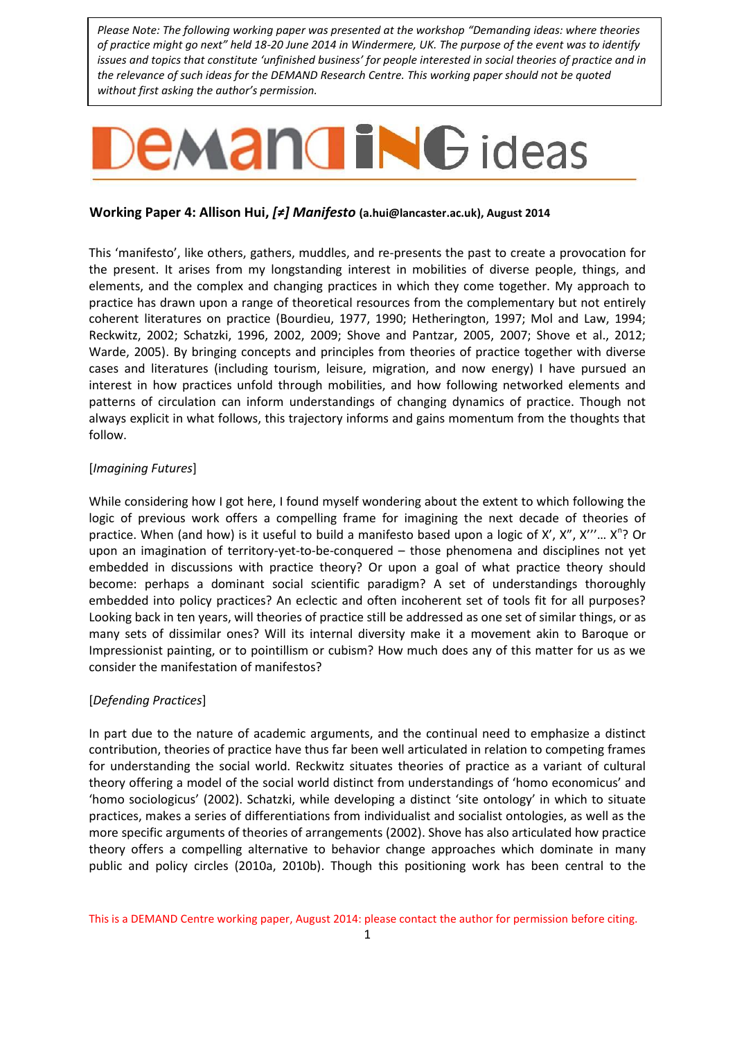*Please Note: The following working paper was presented at the workshop "Demanding ideas: where theories of practice might go next" held 18-20 June 2014 in Windermere, UK. The purpose of the event was to identify issues and topics that constitute 'unfinished business' for people interested in social theories of practice and in the relevance of such ideas for the DEMAND Research Centre. This working paper should not be quoted without first asking the author's permission.*

# **EMANGING** ideas

# **Working Paper 4: Allison Hui,** *[≠] Manifesto* **[\(a.hui@lancaster.ac.uk\)](mailto:a.hui@lancaster.ac.uk), August 2014**

This 'manifesto', like others, gathers, muddles, and re-presents the past to create a provocation for the present. It arises from my longstanding interest in mobilities of diverse people, things, and elements, and the complex and changing practices in which they come together. My approach to practice has drawn upon a range of theoretical resources from the complementary but not entirely coherent literatures on practice (Bourdieu, 1977, 1990; Hetherington, 1997; Mol and Law, 1994; Reckwitz, 2002; Schatzki, 1996, 2002, 2009; Shove and Pantzar, 2005, 2007; Shove et al., 2012; Warde, 2005). By bringing concepts and principles from theories of practice together with diverse cases and literatures (including tourism, leisure, migration, and now energy) I have pursued an interest in how practices unfold through mobilities, and how following networked elements and patterns of circulation can inform understandings of changing dynamics of practice. Though not always explicit in what follows, this trajectory informs and gains momentum from the thoughts that follow.

# [*Imagining Futures*]

While considering how I got here, I found myself wondering about the extent to which following the logic of previous work offers a compelling frame for imagining the next decade of theories of practice. When (and how) is it useful to build a manifesto based upon a logic of X', X", X"'... X<sup>n</sup>? Or upon an imagination of territory-yet-to-be-conquered – those phenomena and disciplines not yet embedded in discussions with practice theory? Or upon a goal of what practice theory should become: perhaps a dominant social scientific paradigm? A set of understandings thoroughly embedded into policy practices? An eclectic and often incoherent set of tools fit for all purposes? Looking back in ten years, will theories of practice still be addressed as one set of similar things, or as many sets of dissimilar ones? Will its internal diversity make it a movement akin to Baroque or Impressionist painting, or to pointillism or cubism? How much does any of this matter for us as we consider the manifestation of manifestos?

# [*Defending Practices*]

In part due to the nature of academic arguments, and the continual need to emphasize a distinct contribution, theories of practice have thus far been well articulated in relation to competing frames for understanding the social world. Reckwitz situates theories of practice as a variant of cultural theory offering a model of the social world distinct from understandings of 'homo economicus' and 'homo sociologicus' (2002). Schatzki, while developing a distinct 'site ontology' in which to situate practices, makes a series of differentiations from individualist and socialist ontologies, as well as the more specific arguments of theories of arrangements (2002). Shove has also articulated how practice theory offers a compelling alternative to behavior change approaches which dominate in many public and policy circles (2010a, 2010b). Though this positioning work has been central to the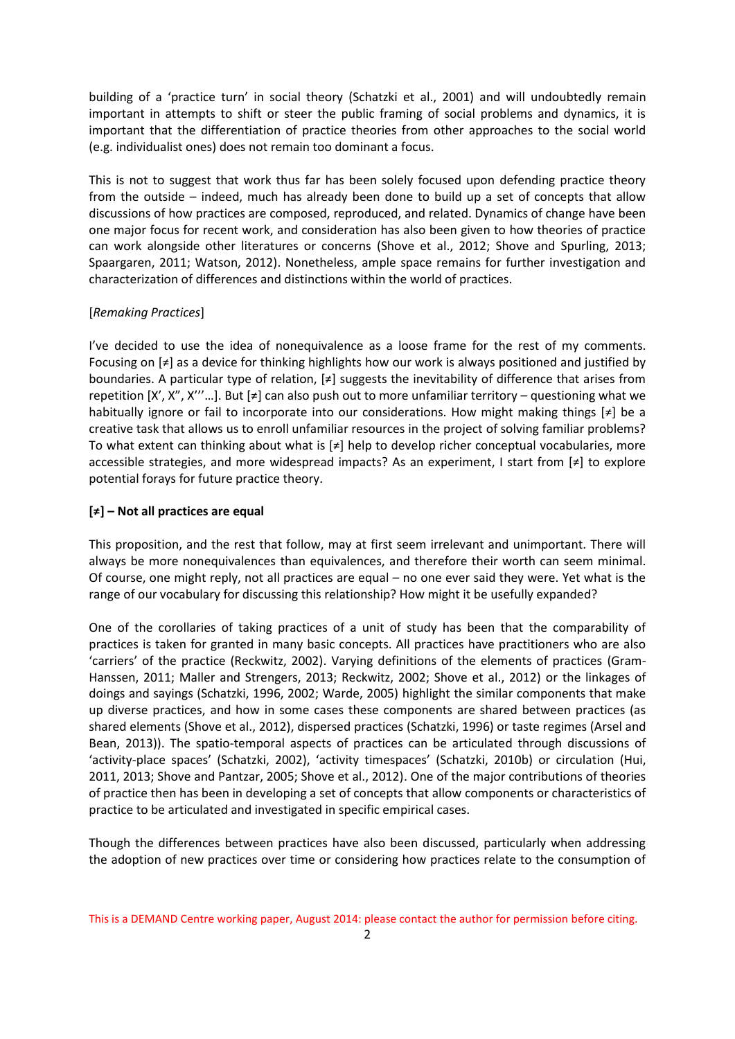building of a 'practice turn' in social theory (Schatzki et al., 2001) and will undoubtedly remain important in attempts to shift or steer the public framing of social problems and dynamics, it is important that the differentiation of practice theories from other approaches to the social world (e.g. individualist ones) does not remain too dominant a focus.

This is not to suggest that work thus far has been solely focused upon defending practice theory from the outside – indeed, much has already been done to build up a set of concepts that allow discussions of how practices are composed, reproduced, and related. Dynamics of change have been one major focus for recent work, and consideration has also been given to how theories of practice can work alongside other literatures or concerns (Shove et al., 2012; Shove and Spurling, 2013; Spaargaren, 2011; Watson, 2012). Nonetheless, ample space remains for further investigation and characterization of differences and distinctions within the world of practices.

## [*Remaking Practices*]

I've decided to use the idea of nonequivalence as a loose frame for the rest of my comments. Focusing on [≠] as a device for thinking highlights how our work is always positioned and justified by boundaries. A particular type of relation,  $[\neq]$  suggests the inevitability of difference that arises from repetition  $[X', X'', X''...]$ . But  $[\neq]$  can also push out to more unfamiliar territory – questioning what we habitually ignore or fail to incorporate into our considerations. How might making things [≠] be a creative task that allows us to enroll unfamiliar resources in the project of solving familiar problems? To what extent can thinking about what is [≠] help to develop richer conceptual vocabularies, more accessible strategies, and more widespread impacts? As an experiment, I start from [≠] to explore potential forays for future practice theory.

## **[≠] – Not all practices are equal**

This proposition, and the rest that follow, may at first seem irrelevant and unimportant. There will always be more nonequivalences than equivalences, and therefore their worth can seem minimal. Of course, one might reply, not all practices are equal – no one ever said they were. Yet what is the range of our vocabulary for discussing this relationship? How might it be usefully expanded?

One of the corollaries of taking practices of a unit of study has been that the comparability of practices is taken for granted in many basic concepts. All practices have practitioners who are also 'carriers' of the practice (Reckwitz, 2002). Varying definitions of the elements of practices (Gram-Hanssen, 2011; Maller and Strengers, 2013; Reckwitz, 2002; Shove et al., 2012) or the linkages of doings and sayings (Schatzki, 1996, 2002; Warde, 2005) highlight the similar components that make up diverse practices, and how in some cases these components are shared between practices (as shared elements (Shove et al., 2012), dispersed practices (Schatzki, 1996) or taste regimes (Arsel and Bean, 2013)). The spatio-temporal aspects of practices can be articulated through discussions of 'activity-place spaces' (Schatzki, 2002), 'activity timespaces' (Schatzki, 2010b) or circulation (Hui, 2011, 2013; Shove and Pantzar, 2005; Shove et al., 2012). One of the major contributions of theories of practice then has been in developing a set of concepts that allow components or characteristics of practice to be articulated and investigated in specific empirical cases.

Though the differences between practices have also been discussed, particularly when addressing the adoption of new practices over time or considering how practices relate to the consumption of

This is a DEMAND Centre working paper, August 2014: please contact the author for permission before citing.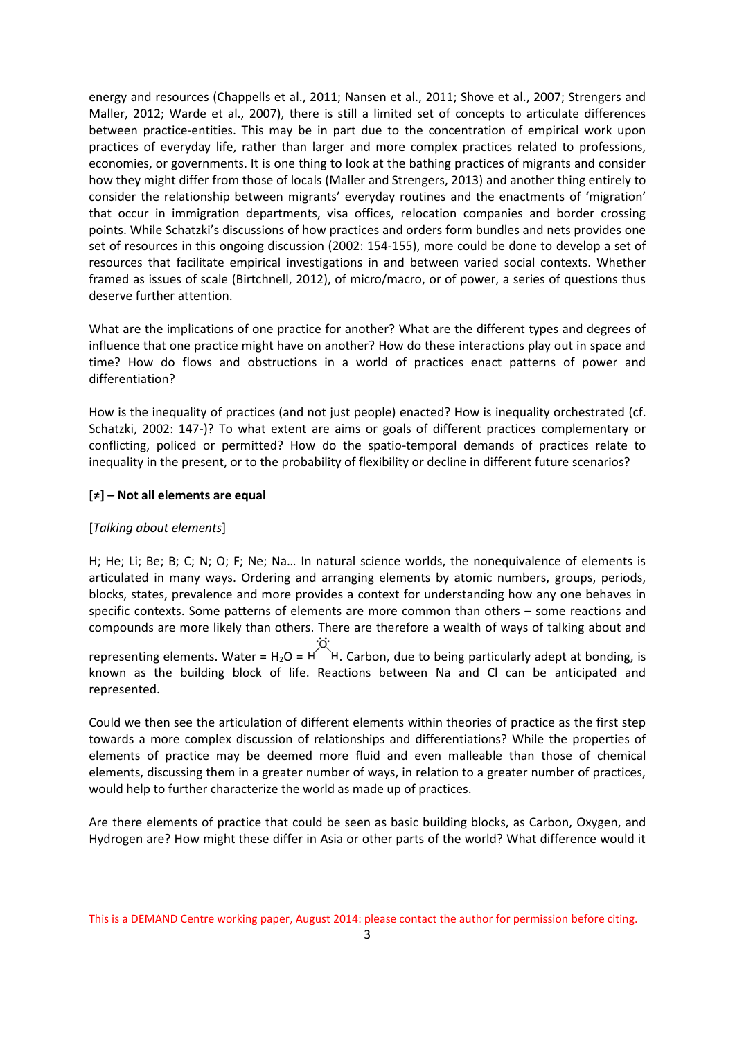energy and resources (Chappells et al., 2011; Nansen et al., 2011; Shove et al., 2007; Strengers and Maller, 2012; Warde et al., 2007), there is still a limited set of concepts to articulate differences between practice-entities. This may be in part due to the concentration of empirical work upon practices of everyday life, rather than larger and more complex practices related to professions, economies, or governments. It is one thing to look at the bathing practices of migrants and consider how they might differ from those of locals (Maller and Strengers, 2013) and another thing entirely to consider the relationship between migrants' everyday routines and the enactments of 'migration' that occur in immigration departments, visa offices, relocation companies and border crossing points. While Schatzki's discussions of how practices and orders form bundles and nets provides one set of resources in this ongoing discussion (2002: 154-155), more could be done to develop a set of resources that facilitate empirical investigations in and between varied social contexts. Whether framed as issues of scale (Birtchnell, 2012), of micro/macro, or of power, a series of questions thus deserve further attention.

What are the implications of one practice for another? What are the different types and degrees of influence that one practice might have on another? How do these interactions play out in space and time? How do flows and obstructions in a world of practices enact patterns of power and differentiation?

How is the inequality of practices (and not just people) enacted? How is inequality orchestrated (cf. Schatzki, 2002: 147-)? To what extent are aims or goals of different practices complementary or conflicting, policed or permitted? How do the spatio-temporal demands of practices relate to inequality in the present, or to the probability of flexibility or decline in different future scenarios?

## **[≠] – Not all elements are equal**

## [*Talking about elements*]

H; He; Li; Be; B; C; N; O; F; Ne; Na… In natural science worlds, the nonequivalence of elements is articulated in many ways. Ordering and arranging elements by atomic numbers, groups, periods, blocks, states, prevalence and more provides a context for understanding how any one behaves in specific contexts. Some patterns of elements are more common than others – some reactions and compounds are more likely than others. There are therefore a wealth of ways of talking about and

representing elements. Water = H<sub>2</sub>O =  $H^{\circ}$  H. Carbon, due to being particularly adept at bonding, is known as the building block of life. Reactions between Na and Cl can be anticipated and represented.

Could we then see the articulation of different elements within theories of practice as the first step towards a more complex discussion of relationships and differentiations? While the properties of elements of practice may be deemed more fluid and even malleable than those of chemical elements, discussing them in a greater number of ways, in relation to a greater number of practices, would help to further characterize the world as made up of practices.

Are there elements of practice that could be seen as basic building blocks, as Carbon, Oxygen, and Hydrogen are? How might these differ in Asia or other parts of the world? What difference would it

This is a DEMAND Centre working paper, August 2014: please contact the author for permission before citing.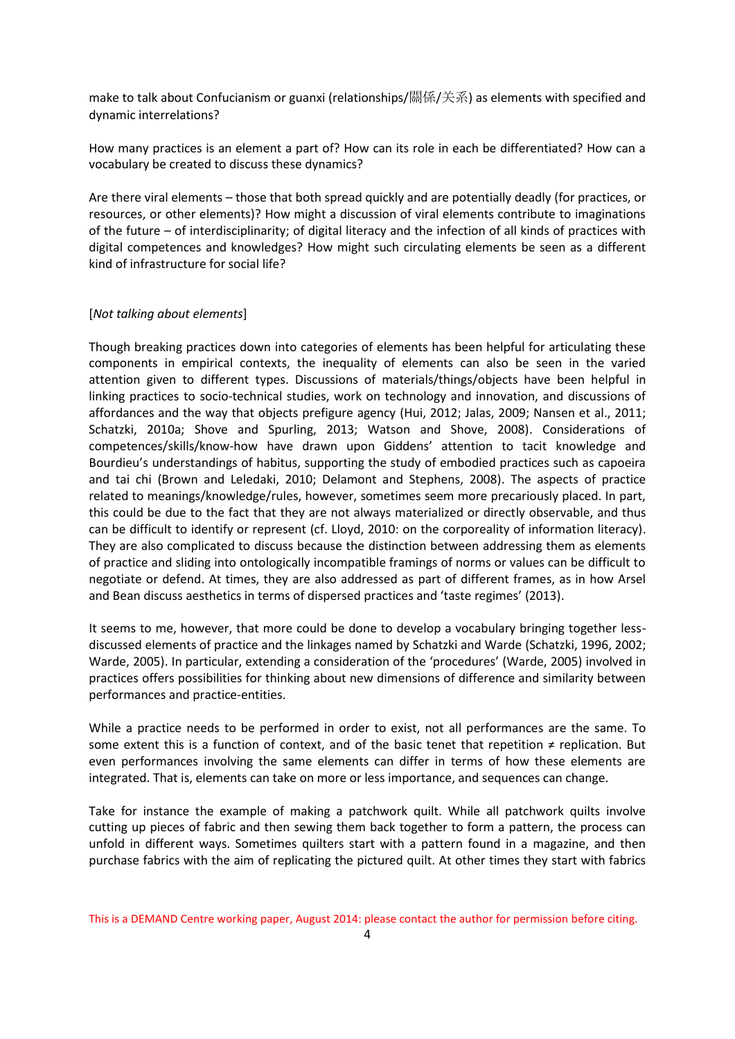make to talk about Confucianism or guanxi (relationships/關係/关系) as elements with specified and dynamic interrelations?

How many practices is an element a part of? How can its role in each be differentiated? How can a vocabulary be created to discuss these dynamics?

Are there viral elements – those that both spread quickly and are potentially deadly (for practices, or resources, or other elements)? How might a discussion of viral elements contribute to imaginations of the future – of interdisciplinarity; of digital literacy and the infection of all kinds of practices with digital competences and knowledges? How might such circulating elements be seen as a different kind of infrastructure for social life?

## [*Not talking about elements*]

Though breaking practices down into categories of elements has been helpful for articulating these components in empirical contexts, the inequality of elements can also be seen in the varied attention given to different types. Discussions of materials/things/objects have been helpful in linking practices to socio-technical studies, work on technology and innovation, and discussions of affordances and the way that objects prefigure agency (Hui, 2012; Jalas, 2009; Nansen et al., 2011; Schatzki, 2010a; Shove and Spurling, 2013; Watson and Shove, 2008). Considerations of competences/skills/know-how have drawn upon Giddens' attention to tacit knowledge and Bourdieu's understandings of habitus, supporting the study of embodied practices such as capoeira and tai chi (Brown and Leledaki, 2010; Delamont and Stephens, 2008). The aspects of practice related to meanings/knowledge/rules, however, sometimes seem more precariously placed. In part, this could be due to the fact that they are not always materialized or directly observable, and thus can be difficult to identify or represent (cf. Lloyd, 2010: on the corporeality of information literacy). They are also complicated to discuss because the distinction between addressing them as elements of practice and sliding into ontologically incompatible framings of norms or values can be difficult to negotiate or defend. At times, they are also addressed as part of different frames, as in how Arsel and Bean discuss aesthetics in terms of dispersed practices and 'taste regimes' (2013).

It seems to me, however, that more could be done to develop a vocabulary bringing together lessdiscussed elements of practice and the linkages named by Schatzki and Warde (Schatzki, 1996, 2002; Warde, 2005). In particular, extending a consideration of the 'procedures' (Warde, 2005) involved in practices offers possibilities for thinking about new dimensions of difference and similarity between performances and practice-entities.

While a practice needs to be performed in order to exist, not all performances are the same. To some extent this is a function of context, and of the basic tenet that repetition ≠ replication. But even performances involving the same elements can differ in terms of how these elements are integrated. That is, elements can take on more or less importance, and sequences can change.

Take for instance the example of making a patchwork quilt. While all patchwork quilts involve cutting up pieces of fabric and then sewing them back together to form a pattern, the process can unfold in different ways. Sometimes quilters start with a pattern found in a magazine, and then purchase fabrics with the aim of replicating the pictured quilt. At other times they start with fabrics

This is a DEMAND Centre working paper, August 2014: please contact the author for permission before citing.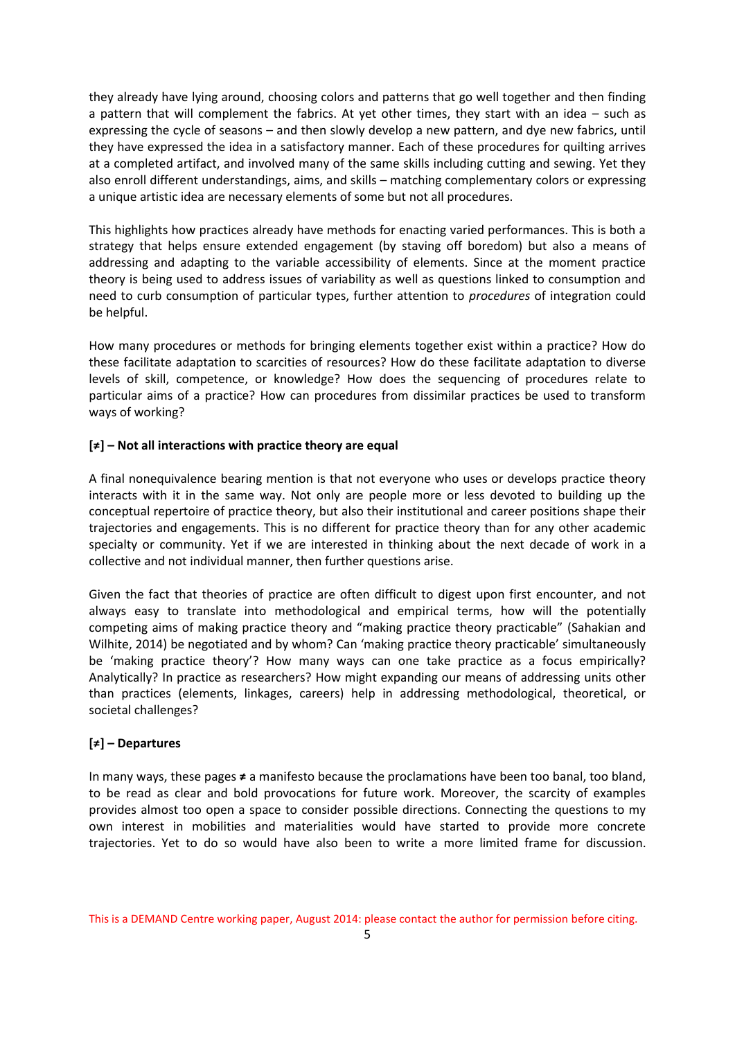they already have lying around, choosing colors and patterns that go well together and then finding a pattern that will complement the fabrics. At yet other times, they start with an idea – such as expressing the cycle of seasons – and then slowly develop a new pattern, and dye new fabrics, until they have expressed the idea in a satisfactory manner. Each of these procedures for quilting arrives at a completed artifact, and involved many of the same skills including cutting and sewing. Yet they also enroll different understandings, aims, and skills – matching complementary colors or expressing a unique artistic idea are necessary elements of some but not all procedures.

This highlights how practices already have methods for enacting varied performances. This is both a strategy that helps ensure extended engagement (by staving off boredom) but also a means of addressing and adapting to the variable accessibility of elements. Since at the moment practice theory is being used to address issues of variability as well as questions linked to consumption and need to curb consumption of particular types, further attention to *procedures* of integration could be helpful.

How many procedures or methods for bringing elements together exist within a practice? How do these facilitate adaptation to scarcities of resources? How do these facilitate adaptation to diverse levels of skill, competence, or knowledge? How does the sequencing of procedures relate to particular aims of a practice? How can procedures from dissimilar practices be used to transform ways of working?

## **[≠] – Not all interactions with practice theory are equal**

A final nonequivalence bearing mention is that not everyone who uses or develops practice theory interacts with it in the same way. Not only are people more or less devoted to building up the conceptual repertoire of practice theory, but also their institutional and career positions shape their trajectories and engagements. This is no different for practice theory than for any other academic specialty or community. Yet if we are interested in thinking about the next decade of work in a collective and not individual manner, then further questions arise.

Given the fact that theories of practice are often difficult to digest upon first encounter, and not always easy to translate into methodological and empirical terms, how will the potentially competing aims of making practice theory and "making practice theory practicable" (Sahakian and Wilhite, 2014) be negotiated and by whom? Can 'making practice theory practicable' simultaneously be 'making practice theory'? How many ways can one take practice as a focus empirically? Analytically? In practice as researchers? How might expanding our means of addressing units other than practices (elements, linkages, careers) help in addressing methodological, theoretical, or societal challenges?

## **[≠] – Departures**

In many ways, these pages **≠** a manifesto because the proclamations have been too banal, too bland, to be read as clear and bold provocations for future work. Moreover, the scarcity of examples provides almost too open a space to consider possible directions. Connecting the questions to my own interest in mobilities and materialities would have started to provide more concrete trajectories. Yet to do so would have also been to write a more limited frame for discussion.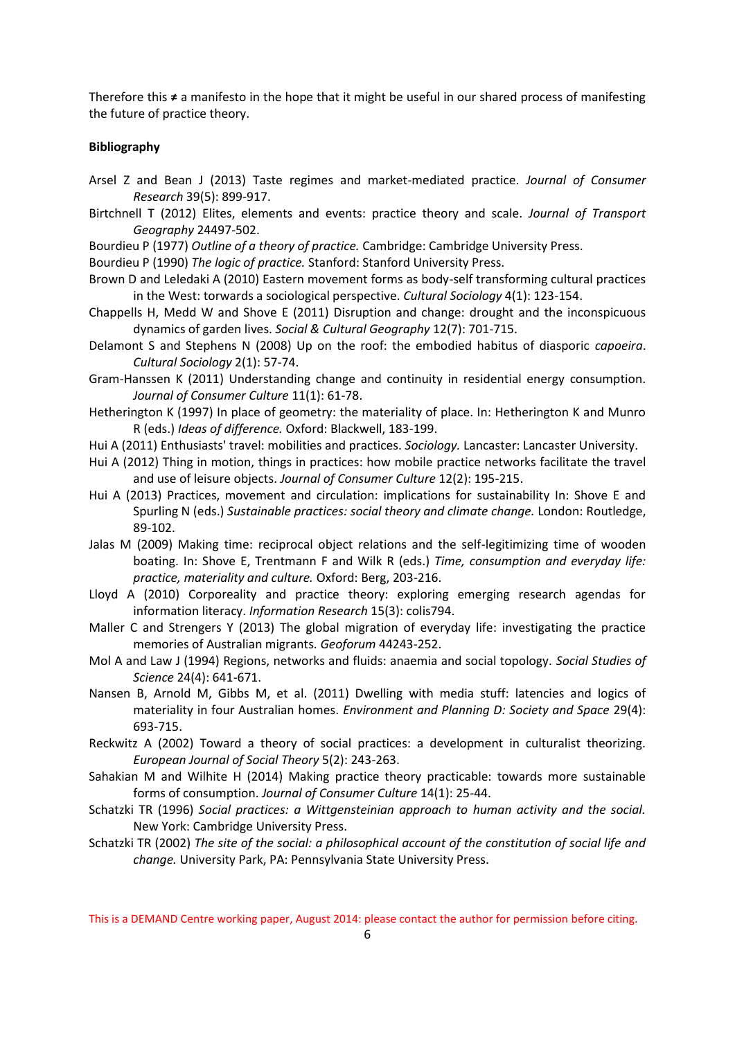Therefore this **≠** a manifesto in the hope that it might be useful in our shared process of manifesting the future of practice theory.

## **Bibliography**

- Arsel Z and Bean J (2013) Taste regimes and market-mediated practice. *Journal of Consumer Research* 39(5): 899-917.
- Birtchnell T (2012) Elites, elements and events: practice theory and scale. *Journal of Transport Geography* 24497-502.
- Bourdieu P (1977) *Outline of a theory of practice.* Cambridge: Cambridge University Press.

Bourdieu P (1990) *The logic of practice.* Stanford: Stanford University Press.

- Brown D and Leledaki A (2010) Eastern movement forms as body-self transforming cultural practices in the West: torwards a sociological perspective. *Cultural Sociology* 4(1): 123-154.
- Chappells H, Medd W and Shove E (2011) Disruption and change: drought and the inconspicuous dynamics of garden lives. *Social & Cultural Geography* 12(7): 701-715.
- Delamont S and Stephens N (2008) Up on the roof: the embodied habitus of diasporic *capoeira*. *Cultural Sociology* 2(1): 57-74.
- Gram-Hanssen K (2011) Understanding change and continuity in residential energy consumption. *Journal of Consumer Culture* 11(1): 61-78.
- Hetherington K (1997) In place of geometry: the materiality of place. In: Hetherington K and Munro R (eds.) *Ideas of difference.* Oxford: Blackwell, 183-199.
- Hui A (2011) Enthusiasts' travel: mobilities and practices. *Sociology.* Lancaster: Lancaster University.
- Hui A (2012) Thing in motion, things in practices: how mobile practice networks facilitate the travel and use of leisure objects. *Journal of Consumer Culture* 12(2): 195-215.
- Hui A (2013) Practices, movement and circulation: implications for sustainability In: Shove E and Spurling N (eds.) *Sustainable practices: social theory and climate change.* London: Routledge, 89-102.
- Jalas M (2009) Making time: reciprocal object relations and the self-legitimizing time of wooden boating. In: Shove E, Trentmann F and Wilk R (eds.) *Time, consumption and everyday life: practice, materiality and culture.* Oxford: Berg, 203-216.
- Lloyd A (2010) Corporeality and practice theory: exploring emerging research agendas for information literacy. *Information Research* 15(3): colis794.
- Maller C and Strengers Y (2013) The global migration of everyday life: investigating the practice memories of Australian migrants. *Geoforum* 44243-252.
- Mol A and Law J (1994) Regions, networks and fluids: anaemia and social topology. *Social Studies of Science* 24(4): 641-671.
- Nansen B, Arnold M, Gibbs M, et al. (2011) Dwelling with media stuff: latencies and logics of materiality in four Australian homes. *Environment and Planning D: Society and Space* 29(4): 693-715.
- Reckwitz A (2002) Toward a theory of social practices: a development in culturalist theorizing. *European Journal of Social Theory* 5(2): 243-263.
- Sahakian M and Wilhite H (2014) Making practice theory practicable: towards more sustainable forms of consumption. *Journal of Consumer Culture* 14(1): 25-44.
- Schatzki TR (1996) *Social practices: a Wittgensteinian approach to human activity and the social.* New York: Cambridge University Press.
- Schatzki TR (2002) *The site of the social: a philosophical account of the constitution of social life and change.* University Park, PA: Pennsylvania State University Press.

This is a DEMAND Centre working paper, August 2014: please contact the author for permission before citing.